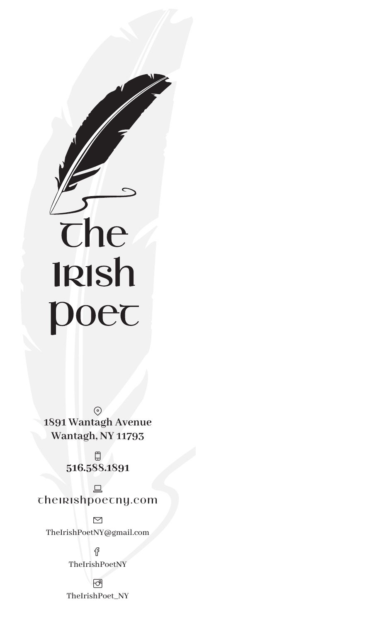

 $\odot$ **1891 Wantagh Avenue Wantagh, NY 11793**



## Theirishpoetny.com

 $\Box$ 

<u>ជូ</u> TheIrishPoetNY

स्त्रि TheIrishPoet\_NY



### TheIrishPoetNY@gmail.com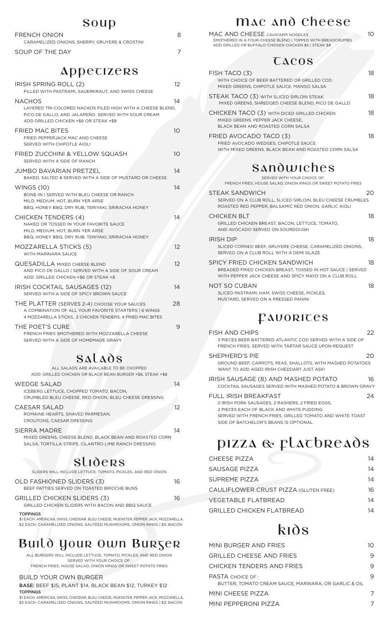## Mac and Cheese

| MAC AND CHEESE CAVATAPPI NOODLES<br>SMOTHERED IN A FOUR-CHEESE BLEND   TOPPED WITH BREADCRUMBS<br>ADD GRILLED OR BUFFALO CHICKEN CHICKEN \$6   STEAK \$8                                                                        | 10 |
|---------------------------------------------------------------------------------------------------------------------------------------------------------------------------------------------------------------------------------|----|
| <b>CACOS</b>                                                                                                                                                                                                                    |    |
| FISH TACO (3)<br>WITH CHOICE OF BEER BATTERED OR GRILLED COD<br>MIXED GREENS, CHIPOTLE SAUCE, MANGO SALSA                                                                                                                       | 18 |
| STEAK TACO (3) WITH SLICED SIRLOIN STEAK<br>MIXED GREENS, SHREDDED CHEESE BLEND, PICO DE GALLO                                                                                                                                  | 18 |
| <b>CHICKEN TACO (3) WITH DICED GRILLED CHICKEN</b><br>MIXED GREENS, PEPPER JACK CHEESE,<br>BLACK BEAN AND ROASTED CORN SALSA                                                                                                    | 18 |
| FRIED AVOCADO TACO (3)<br>FRIED AVOCADO WEDGES, CHIPOTLE SAUCE<br>WITH MIXED GREENS, BLACK BEAN AND ROASTED CORN SALSA                                                                                                          | 18 |
| Sandwiches                                                                                                                                                                                                                      |    |
| SERVED WITH YOUR CHOICE OF:<br>FRENCH FRIES, HOUSE SALAD, ONION RINGS OR SWEET POTATO FRIES                                                                                                                                     |    |
| <b>STEAK SANDWICH</b><br>SERVED ON A CLUB ROLL, SLICED SIRLOIN, BLEU CHEESE CRUMBLES<br>ROASTED RED PEPPER, BALSAMIC RED ONION, GARLIC AIOLI                                                                                    | 20 |
| <b>CHICKEN BLT</b><br>GRILLED CHICKEN BREAST, BACON, LETTUCE, TOMATO,<br>AND AVOCADO SERVED ON SOURDOUGH                                                                                                                        | 18 |
| <b>IRISH DIP</b><br>SLICED CORNED BEEF, GRUYERE CHEESE, CARAMELIZED ONIONS,<br>SERVED ON A CLUB ROLL WITH A DEMI GLAZE                                                                                                          | 18 |
| SPICY FRIED CHICKEN SANDWICH<br>BREADED FRIED CHICKEN BREAST, TOSSED IN HOT SAUCE   SERVED<br>WITH PEPPER JACK CHEESE AND SPICY MAYO ON A CLUB ROLL                                                                             | 18 |
| NOT SO CUBAN<br>SLICED PASTRAMI, HAM, SWISS CHEESE, PICKLES,<br>MUSTARD, SERVED ON A PRESSED PANINI                                                                                                                             | 18 |
| PAUORICES                                                                                                                                                                                                                       |    |
| <b>FISH AND CHIPS</b><br>3 PIECES BEER BATTERED ATLANTIC COD SERVED WITH A SIDE OF<br>FRENCH FRIES, SERVED WITH TARTAR SAUCE UPON REQUEST                                                                                       | 22 |
| SHEPHERD'S PIE<br>GROUND BEEF, CARROTS, PEAS, SHALLOTS, WITH MASHED POTATOES<br>WANT TO ADD AGED IRISH CHEDDAR? JUST ASK!                                                                                                       | 20 |
| IRISH SAUSAGE (8) AND MASHED POTATO<br>COCKTAIL SAUSAGES SERVED WITH MASHED POTATO & BROWN GRAVY                                                                                                                                | 16 |
| <b>FULL IRISH BREAKFAST</b><br>2 IRISH PORK SAUSAGES, 2 RASHERS, 2 FRIED EGGS,<br>2 PIECES EACH OF BLACK AND WHITE PUDDING<br>SERVED WITH FRENCH FRIES, GRILLED TOMATO AND WHITE TOAST<br>SIDE OF BATCHELOR'S BEANS IS OPTIONAL | 24 |

| MINI BURGER AND FRIES                                                            |  |
|----------------------------------------------------------------------------------|--|
| <b>GRILLED CHEESE AND FRIES</b>                                                  |  |
| CHICKEN TENDERS AND FRIES                                                        |  |
| <b>PASTA CHOICE OF:</b><br>BUTTER. TOMATO CREAM SAUCE. MARINARA. OR GARLIC & OIL |  |
| MINI CHEESE PIZZA                                                                |  |
| MINI PEPPERONI PIZZA                                                             |  |

# PIZZA & FLATBREADS

| <b>CHEESE PIZZA</b>                          | 14 |
|----------------------------------------------|----|
| SAUSAGE PIZZA                                | 14 |
| <b>SUPREME PIZZA</b>                         | 14 |
| <b>CAULIFLOWER CRUST PIZZA (GLUTEN FREE)</b> | 16 |
| <b>VEGETABLE FLATBREAD</b>                   | 14 |
| <b>GRILLED CHICKEN FLATBREAD</b>             | 1Δ |

## **k**<sub>1</sub>

## $R$   $\Omega$   $\Omega$

| ouup                                                                                                                                                                        |                 |
|-----------------------------------------------------------------------------------------------------------------------------------------------------------------------------|-----------------|
| <b>FRENCH ONION</b><br>CARAMELIZED ONIONS, SHERRY, GRUYERE & CROSTINI                                                                                                       | 8               |
| SOUP OF THE DAY                                                                                                                                                             | $\overline{7}$  |
| Appecizers                                                                                                                                                                  |                 |
| IRISH SPRING ROLL (2)<br>FILLED WITH PASTRAMI, SAUERKRAUT, AND SWISS CHEESE                                                                                                 | 12 <sup>2</sup> |
| <b>NACHOS</b><br>LAYERED TRI-COLORED NACHOS PILED HIGH WITH A CHEESE BLEND.<br>PICO DE GALLO, AND JALAPEÑO SERVED WITH SOUR CREAM<br>ADD GRILLED CHICKEN +\$6 OR STEAK +\$8 | 14              |
| <b>FRIED MAC BITES</b><br>FRIED PEPPERJACK MAC AND CHEESE<br>SERVED WITH CHIPOTLE AIOLI                                                                                     | 10 <sup>°</sup> |
| <b>FRIED ZUCCHINI &amp; YELLOW SQUASH</b><br>SERVED WITH A SIDE OF RANCH                                                                                                    | 10 <sup>°</sup> |
| <b>JUMBO BAVARIAN PRETZEL</b><br>BAKED, SALTED & SERVED WITH A SIDE OF MUSTARD OR CHEESE                                                                                    | 14              |
| <b>WINGS (10)</b><br>BONE-IN   SERVED WITH BLEU CHEESE OR RANCH<br>MILD, MEDIUM, HOT, BURN YER ARSE<br>BBQ, HONEY BBQ, DRY RUB, TERIYAKI, SRIRACHA HONEY                    | 14              |
| <b>CHICKEN TENDERS (4)</b><br>NAKED OR TOSSED IN YOUR FAVORITE SAUCE<br>MILD, MEDIUM, HOT, BURN YER ARSE<br>BBQ, HONEY BBQ, DRY RUB, TERIYAKI, SRIRACHA HONEY               | 14              |
| <b>MOZZARELLA STICKS (5)</b><br>WITH MARINARA SAUCE                                                                                                                         | 12              |
| <b>QUESADILLA MIXED CHEESE BLEND</b><br>AND PICO DE GALLO   SERVED WITH A SIDE OF SOUR CREAM<br>ADD: GRILLED CHICKEN +\$6 OR STEAK +8                                       | 12 <sup>°</sup> |
| IRISH COCKTAIL SAUSAGES (12)<br>SERVED WITH A SIDE OF SPICY BROWN SAUCE                                                                                                     | 14              |
| THE PLATTER (SERVES 2-4) CHOOSE YOUR SAUCES<br>A COMBINATION OF ALL YOUR FAVORITE STARTERS   6 WINGS<br>4 MOZZARELLA STICKS, 2 CHICKEN TENDERS, 4 FRIED MAC BITES           | 28              |
| THE POET'S CURE<br>FRENCH FRIES SMOTHERED WITH MOZZARELLA CHEESE<br>SERVED WITH A SIDE OF HOMEMADE GRAVY                                                                    | 9               |
|                                                                                                                                                                             |                 |

## Salads

ALL SALADS ARE AVAILABLE TO BE CHOPPED ADD: GRILLED CHICKEN OR BLACK BEAN BURGER +\$6, STEAK +\$8

| 14 |
|----|
|    |
|    |
|    |

#### CAESAR SALAD 12

ROMAINE HEARTS, SHAVED PARMESAN, CROUTONS, CAESAR DRESSING

### SIERRA MADRE 14

MIXED GREENS, CHEESE BLEND, BLACK BEAN AND ROASTED CORN SALSA, TORTILLA STRIPS, CILANTRO LIME RANCH DRESSING

## Sliders

SLIDERS WILL INCLUDE LETTUCE, TOMATO, PICKLES, AND RED ONION

| <b>OLD FASHIONED SLIDERS (3)</b>            | 16 |
|---------------------------------------------|----|
| BEEF PATTIES SERVED ON TOASTED BRIOCHE BUNS |    |
| GRILLED CHICKEN SLIDERS (3)                 | 16 |

GRILLED CHICKEN SLIDERS WITH BACON AND BBQ SAUCE

#### TOPPINGS

\$1 EACH: AMERICAN, SWISS, CHEDDAR, BLEU CHEESE, MUENSTER, PEPPER JACK, MOZZARELLA, \$2 EACH: CARAMELIZED ONIONS, SAUTÉED MUSHROOMS, ONION RINGS | \$3: BACON

## Build Your Own Burger

ALL BURGERS WILL INCLUDE LETTUCE, TOMATO, PICKLES, AND RED ONION SERVED WITH YOUR CHOICE OF: FRENCH FRIES, HOUSE SALAD, ONION RINGS OR SWEET POTATO FRIES

#### BUILD YOUR OWN BURGER

#### BASE: BEEF \$15, PLANT \$14, BLACK BEAN \$12, TURKEY \$12 TOPPINGS

\$1 EACH: AMERICAN, SWISS, CHEDDAR, BLEU CHEESE, MUENSTER, PEPPER JACK, MOZZARELLA, \$2 EACH: CARAMELIZED ONIONS, SAUTÉED MUSHROOMS, ONION RINGS | \$3: BACON